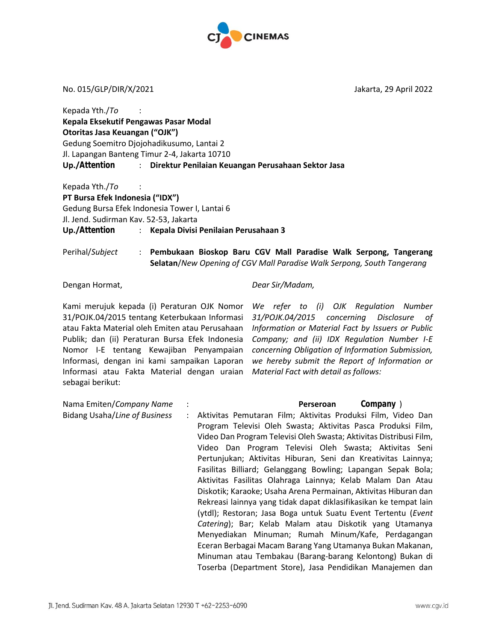

No. 015/GLP/DIR/X/2021 Jakarta, 29 April 2022

| Kepada Yth./To $\cdot$ :                                           |  |  |  |
|--------------------------------------------------------------------|--|--|--|
| Kepala Eksekutif Pengawas Pasar Modal                              |  |  |  |
| Otoritas Jasa Keuangan ("OJK")                                     |  |  |  |
| Gedung Soemitro Djojohadikusumo, Lantai 2                          |  |  |  |
| Jl. Lapangan Banteng Timur 2-4, Jakarta 10710                      |  |  |  |
| Up./Attention : Direktur Penilaian Keuangan Perusahaan Sektor Jasa |  |  |  |
| Kepada Yth./To                                                     |  |  |  |
| PT Bursa Efek Indonesia ("IDX")                                    |  |  |  |
| Gedung Bursa Efek Indonesia Tower I, Lantai 6                      |  |  |  |
| Jl. Jend. Sudirman Kav. 52-53, Jakarta                             |  |  |  |
| Up./Attention : Kepala Divisi Penilaian Perusahaan 3               |  |  |  |

Perihal/*Subject* : **Pembukaan Bioskop Baru CGV Mall Paradise Walk Serpong, Tangerang Selatan**/*New Opening of CGV Mall Paradise Walk Serpong, South Tangerang*

Dengan Hormat,

Kami merujuk kepada (i) Peraturan OJK Nomor *We refer to (i) OJK Regulation Number*  31/POJK.04/2015 tentang Keterbukaan Informasi atau Fakta Material oleh Emiten atau Perusahaan *Information or Material Fact by Issuers or Public*  Publik; dan (ii) Peraturan Bursa Efek Indonesia Nomor I-E tentang Kewajiban Penyampaian Informasi, dengan ini kami sampaikan Laporan Informasi atau Fakta Material dengan uraian *Material Fact with detail as follows:* sebagai berikut:

*Dear Sir/Madam,*

*31/POJK.04/2015 concerning Disclosure of Company; and (ii) IDX Regulation Number I-E concerning Obligation of Information Submission, we hereby submit the Report of Information or* 

| Nama Emiten/Company Name      | : W d ' $CE$ $Z$ > $C$ $CE$ $P\text{Wk}\text{E}\text{D}\text{Fn}$ $\text{KZ}$ $Co\text{M}\text{D}\text{any}$ $\perp$ |
|-------------------------------|----------------------------------------------------------------------------------------------------------------------|
| Bidang Usaha/Line of Business | Aktivitas Pemutaran Film; Aktivitas Produksi Film, Video Dan                                                         |
|                               | Program Televisi Oleh Swasta; Aktivitas Pasca Produksi Film,                                                         |
|                               | Video Dan Program Televisi Oleh Swasta; Aktivitas Distribusi Film,                                                   |
|                               | Video Dan Program Televisi Oleh Swasta; Aktivitas Seni                                                               |
|                               | Pertunjukan; Aktivitas Hiburan, Seni dan Kreativitas Lainnya;                                                        |
|                               | Fasilitas Billiard; Gelanggang Bowling; Lapangan Sepak Bola;                                                         |
|                               | Aktivitas Fasilitas Olahraga Lainnya; Kelab Malam Dan Atau                                                           |
|                               | Diskotik; Karaoke; Usaha Arena Permainan, Aktivitas Hiburan dan                                                      |
|                               | Rekreasi lainnya yang tidak dapat diklasifikasikan ke tempat lain                                                    |
|                               | (ytdl); Restoran; Jasa Boga untuk Suatu Event Tertentu (Event                                                        |
|                               | Catering); Bar; Kelab Malam atau Diskotik yang Utamanya                                                              |
|                               | Menyediakan Minuman; Rumah Minum/Kafe, Perdagangan                                                                   |
|                               | Eceran Berbagai Macam Barang Yang Utamanya Bukan Makanan,                                                            |
|                               | Minuman atau Tembakau (Barang-barang Kelontong) Bukan di                                                             |
|                               | Toserba (Department Store), Jasa Pendidikan Manajemen dan                                                            |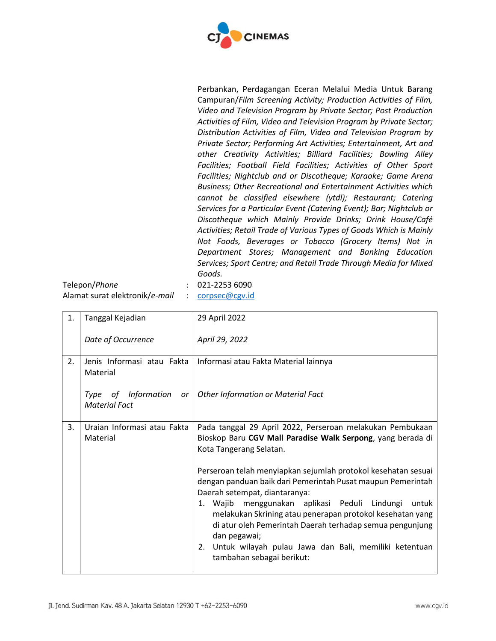

Perbankan, Perdagangan Eceran Melalui Media Untuk Barang Campuran/*Film Screening Activity; Production Activities of Film, Video and Television Program by Private Sector; Post Production Activities of Film, Video and Television Program by Private Sector; Distribution Activities of Film, Video and Television Program by Private Sector; Performing Art Activities; Entertainment, Art and other Creativity Activities; Billiard Facilities; Bowling Alley Facilities; Football Field Facilities; Activities of Other Sport Facilities; Nightclub and or Discotheque; Karaoke; Game Arena Business; Other Recreational and Entertainment Activities which cannot be classified elsewhere (ytdl); Restaurant; Catering Services for a Particular Event (Catering Event); Bar; Nightclub or Discotheque which Mainly Provide Drinks; Drink House/Café Activities; Retail Trade of Various Types of Goods Which is Mainly Not Foods, Beverages or Tobacco (Grocery Items) Not in Department Stores; Management and Banking Education Services; Sport Centre; and Retail Trade Through Media for Mixed Goods.*

| Telepon/Phone                  | $: 021 - 22536090$ |
|--------------------------------|--------------------|
| Alamat surat elektronik/e-mail | $:$ corpsec@cgv.id |

| 1. | Tanggal Kejadian                                  | 29 April 2022                                                                                                                                                                                                                                                                                                                                                                                                                                                                                                                                                                                                 |
|----|---------------------------------------------------|---------------------------------------------------------------------------------------------------------------------------------------------------------------------------------------------------------------------------------------------------------------------------------------------------------------------------------------------------------------------------------------------------------------------------------------------------------------------------------------------------------------------------------------------------------------------------------------------------------------|
|    | Date of Occurrence                                | April 29, 2022                                                                                                                                                                                                                                                                                                                                                                                                                                                                                                                                                                                                |
| 2. | Jenis Informasi atau Fakta<br>Material            | Informasi atau Fakta Material lainnya                                                                                                                                                                                                                                                                                                                                                                                                                                                                                                                                                                         |
|    | Type of Information<br>or<br><b>Material Fact</b> | <b>Other Information or Material Fact</b>                                                                                                                                                                                                                                                                                                                                                                                                                                                                                                                                                                     |
| 3. | Uraian Informasi atau Fakta<br>Material           | Pada tanggal 29 April 2022, Perseroan melakukan Pembukaan<br>Bioskop Baru CGV Mall Paradise Walk Serpong, yang berada di<br>Kota Tangerang Selatan.<br>Perseroan telah menyiapkan sejumlah protokol kesehatan sesuai<br>dengan panduan baik dari Pemerintah Pusat maupun Pemerintah<br>Daerah setempat, diantaranya:<br>1. Wajib menggunakan aplikasi Peduli Lindungi untuk<br>melakukan Skrining atau penerapan protokol kesehatan yang<br>di atur oleh Pemerintah Daerah terhadap semua pengunjung<br>dan pegawai;<br>2. Untuk wilayah pulau Jawa dan Bali, memiliki ketentuan<br>tambahan sebagai berikut: |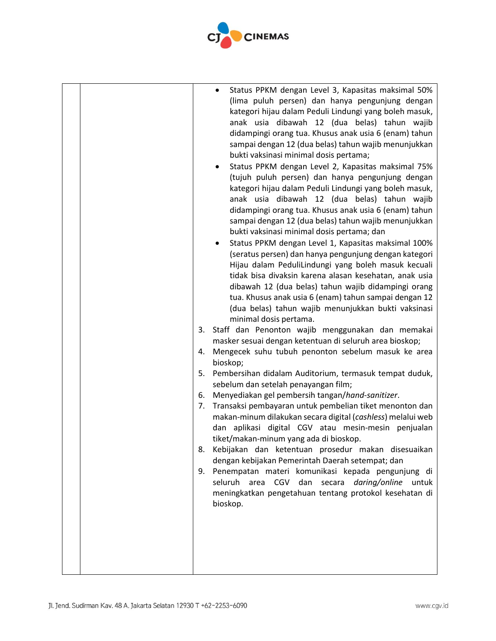

| minimal dosis pertama.<br>3.<br>4.<br>bioskop;<br>5.<br>sebelum dan setelah penayangan film;<br>6.<br>7.<br>8.<br>9.<br>bioskop. | Status PPKM dengan Level 3, Kapasitas maksimal 50%<br>(lima puluh persen) dan hanya pengunjung dengan<br>kategori hijau dalam Peduli Lindungi yang boleh masuk,<br>anak usia dibawah 12 (dua belas) tahun wajib<br>didampingi orang tua. Khusus anak usia 6 (enam) tahun<br>sampai dengan 12 (dua belas) tahun wajib menunjukkan<br>bukti vaksinasi minimal dosis pertama;<br>Status PPKM dengan Level 2, Kapasitas maksimal 75%<br>(tujuh puluh persen) dan hanya pengunjung dengan<br>kategori hijau dalam Peduli Lindungi yang boleh masuk,<br>anak usia dibawah 12 (dua belas) tahun wajib<br>didampingi orang tua. Khusus anak usia 6 (enam) tahun<br>sampai dengan 12 (dua belas) tahun wajib menunjukkan<br>bukti vaksinasi minimal dosis pertama; dan<br>Status PPKM dengan Level 1, Kapasitas maksimal 100%<br>(seratus persen) dan hanya pengunjung dengan kategori<br>Hijau dalam PeduliLindungi yang boleh masuk kecuali<br>tidak bisa divaksin karena alasan kesehatan, anak usia<br>dibawah 12 (dua belas) tahun wajib didampingi orang<br>tua. Khusus anak usia 6 (enam) tahun sampai dengan 12<br>(dua belas) tahun wajib menunjukkan bukti vaksinasi<br>Staff dan Penonton wajib menggunakan dan memakai<br>masker sesuai dengan ketentuan di seluruh area bioskop;<br>Mengecek suhu tubuh penonton sebelum masuk ke area<br>Pembersihan didalam Auditorium, termasuk tempat duduk,<br>Menyediakan gel pembersih tangan/hand-sanitizer.<br>Transaksi pembayaran untuk pembelian tiket menonton dan<br>makan-minum dilakukan secara digital (cashless) melalui web<br>dan aplikasi digital CGV atau mesin-mesin penjualan<br>tiket/makan-minum yang ada di bioskop.<br>Kebijakan dan ketentuan prosedur makan disesuaikan<br>dengan kebijakan Pemerintah Daerah setempat; dan<br>Penempatan materi komunikasi kepada pengunjung di<br>seluruh area CGV dan secara daring/online<br>untuk<br>meningkatkan pengetahuan tentang protokol kesehatan di |
|----------------------------------------------------------------------------------------------------------------------------------|--------------------------------------------------------------------------------------------------------------------------------------------------------------------------------------------------------------------------------------------------------------------------------------------------------------------------------------------------------------------------------------------------------------------------------------------------------------------------------------------------------------------------------------------------------------------------------------------------------------------------------------------------------------------------------------------------------------------------------------------------------------------------------------------------------------------------------------------------------------------------------------------------------------------------------------------------------------------------------------------------------------------------------------------------------------------------------------------------------------------------------------------------------------------------------------------------------------------------------------------------------------------------------------------------------------------------------------------------------------------------------------------------------------------------------------------------------------------------------------------------------------------------------------------------------------------------------------------------------------------------------------------------------------------------------------------------------------------------------------------------------------------------------------------------------------------------------------------------------------------------------------------------------------------------------------------------------------------|
|----------------------------------------------------------------------------------------------------------------------------------|--------------------------------------------------------------------------------------------------------------------------------------------------------------------------------------------------------------------------------------------------------------------------------------------------------------------------------------------------------------------------------------------------------------------------------------------------------------------------------------------------------------------------------------------------------------------------------------------------------------------------------------------------------------------------------------------------------------------------------------------------------------------------------------------------------------------------------------------------------------------------------------------------------------------------------------------------------------------------------------------------------------------------------------------------------------------------------------------------------------------------------------------------------------------------------------------------------------------------------------------------------------------------------------------------------------------------------------------------------------------------------------------------------------------------------------------------------------------------------------------------------------------------------------------------------------------------------------------------------------------------------------------------------------------------------------------------------------------------------------------------------------------------------------------------------------------------------------------------------------------------------------------------------------------------------------------------------------------|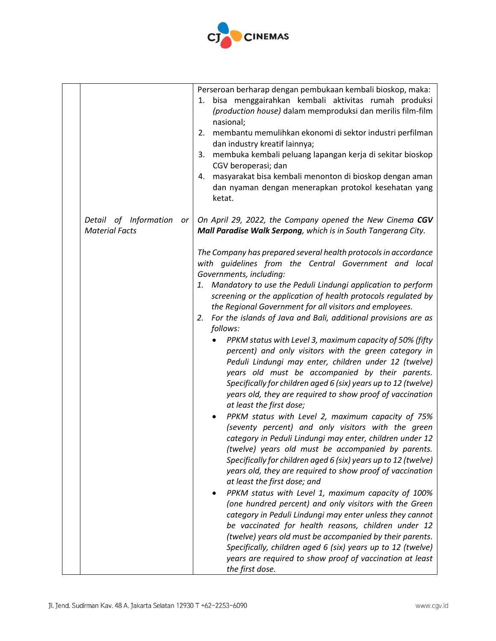

|                                                      | Perseroan berharap dengan pembukaan kembali bioskop, maka:<br>bisa menggairahkan kembali aktivitas rumah produksi<br>1.<br>(production house) dalam memproduksi dan merilis film-film<br>nasional;<br>2. membantu memulihkan ekonomi di sektor industri perfilman<br>dan industry kreatif lainnya;<br>membuka kembali peluang lapangan kerja di sekitar bioskop<br>3.<br>CGV beroperasi; dan<br>masyarakat bisa kembali menonton di bioskop dengan aman<br>4.<br>dan nyaman dengan menerapkan protokol kesehatan yang<br>ketat.                                                                                                                                                                                                                                                                                                                                                                                                                                                                                                                                                                                                                                                                                                                                                                                                                                                                                                                                                                                                                                                                                                                                            |
|------------------------------------------------------|----------------------------------------------------------------------------------------------------------------------------------------------------------------------------------------------------------------------------------------------------------------------------------------------------------------------------------------------------------------------------------------------------------------------------------------------------------------------------------------------------------------------------------------------------------------------------------------------------------------------------------------------------------------------------------------------------------------------------------------------------------------------------------------------------------------------------------------------------------------------------------------------------------------------------------------------------------------------------------------------------------------------------------------------------------------------------------------------------------------------------------------------------------------------------------------------------------------------------------------------------------------------------------------------------------------------------------------------------------------------------------------------------------------------------------------------------------------------------------------------------------------------------------------------------------------------------------------------------------------------------------------------------------------------------|
| Detail of Information<br>or<br><b>Material Facts</b> | On April 29, 2022, the Company opened the New Cinema CGV<br>Mall Paradise Walk Serpong, which is in South Tangerang City.                                                                                                                                                                                                                                                                                                                                                                                                                                                                                                                                                                                                                                                                                                                                                                                                                                                                                                                                                                                                                                                                                                                                                                                                                                                                                                                                                                                                                                                                                                                                                  |
|                                                      | The Company has prepared several health protocols in accordance<br>with quidelines from the Central Government and local<br>Governments, including:<br>1. Mandatory to use the Peduli Lindungi application to perform<br>screening or the application of health protocols regulated by<br>the Regional Government for all visitors and employees.<br>For the islands of Java and Bali, additional provisions are as<br>2.<br>follows:<br>PPKM status with Level 3, maximum capacity of 50% (fifty<br>percent) and only visitors with the green category in<br>Peduli Lindungi may enter, children under 12 (twelve)<br>years old must be accompanied by their parents.<br>Specifically for children aged 6 (six) years up to 12 (twelve)<br>years old, they are required to show proof of vaccination<br>at least the first dose;<br>PPKM status with Level 2, maximum capacity of 75%<br>(seventy percent) and only visitors with the green<br>category in Peduli Lindungi may enter, children under 12<br>(twelve) years old must be accompanied by parents.<br>Specifically for children aged 6 (six) years up to 12 (twelve)<br>years old, they are required to show proof of vaccination<br>at least the first dose; and<br>PPKM status with Level 1, maximum capacity of 100%<br>(one hundred percent) and only visitors with the Green<br>category in Peduli Lindungi may enter unless they cannot<br>be vaccinated for health reasons, children under 12<br>(twelve) years old must be accompanied by their parents.<br>Specifically, children aged 6 (six) years up to 12 (twelve)<br>years are required to show proof of vaccination at least<br>the first dose. |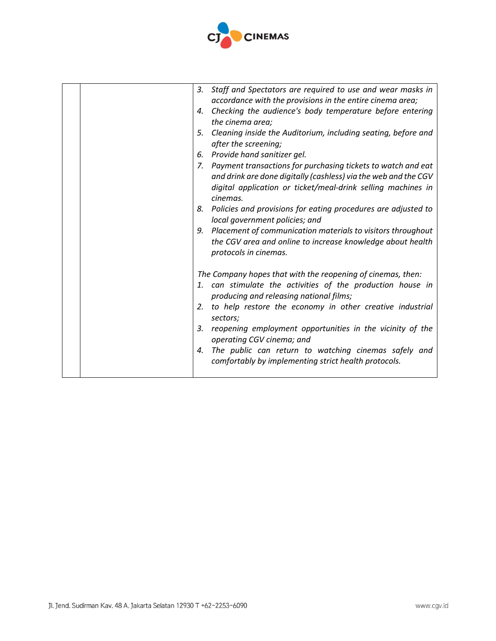

| Staff and Spectators are required to use and wear masks in<br>3.<br>accordance with the provisions in the entire cinema area;<br>Checking the audience's body temperature before entering<br>4.<br>the cinema area;<br>Cleaning inside the Auditorium, including seating, before and<br>5.<br>after the screening;<br>6. Provide hand sanitizer gel.<br>7. Payment transactions for purchasing tickets to watch and eat<br>and drink are done digitally (cashless) via the web and the CGV<br>digital application or ticket/meal-drink selling machines in<br>cinemas.<br>8. Policies and provisions for eating procedures are adjusted to<br>local government policies; and<br>9. Placement of communication materials to visitors throughout<br>the CGV area and online to increase knowledge about health<br>protocols in cinemas. |
|---------------------------------------------------------------------------------------------------------------------------------------------------------------------------------------------------------------------------------------------------------------------------------------------------------------------------------------------------------------------------------------------------------------------------------------------------------------------------------------------------------------------------------------------------------------------------------------------------------------------------------------------------------------------------------------------------------------------------------------------------------------------------------------------------------------------------------------|
| The Company hopes that with the reopening of cinemas, then:<br>1. can stimulate the activities of the production house in<br>producing and releasing national films;<br>to help restore the economy in other creative industrial<br>2.<br>sectors;<br>reopening employment opportunities in the vicinity of the<br>3.<br>operating CGV cinema; and<br>The public can return to watching cinemas safely and<br>4.<br>comfortably by implementing strict health protocols.                                                                                                                                                                                                                                                                                                                                                              |